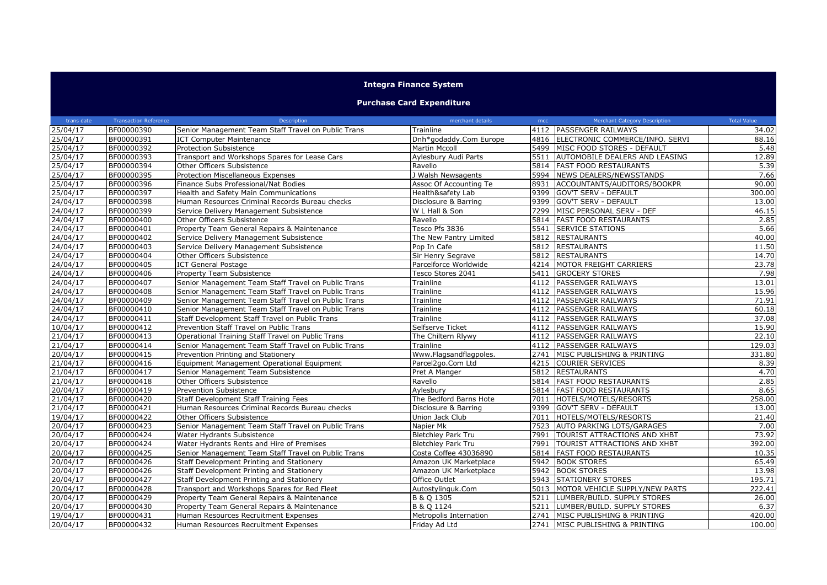## **Integra Finance System**

## **Purchase Card Expenditure**

| trans date | <b>Transaction Reference</b> | Description                                         | merchant details          | mcc  | <b>Merchant Category Description</b> | <b>Total Value</b> |
|------------|------------------------------|-----------------------------------------------------|---------------------------|------|--------------------------------------|--------------------|
| 25/04/17   | BF00000390                   | Senior Management Team Staff Travel on Public Trans | Trainline                 |      | 4112 PASSENGER RAILWAYS              | 34.02              |
| 25/04/17   | BF00000391                   | <b>ICT Computer Maintenance</b>                     | Dnh*godaddy.Com Europe    |      | 4816 ELECTRONIC COMMERCE/INFO. SERVI | 88.16              |
| 25/04/17   | BF00000392                   | <b>Protection Subsistence</b>                       | <b>Martin Mccoll</b>      |      | 5499 MISC FOOD STORES - DEFAULT      | 5.48               |
| 25/04/17   | BF00000393                   | Transport and Workshops Spares for Lease Cars       | Aylesbury Audi Parts      |      | 5511 AUTOMOBILE DEALERS AND LEASING  | 12.89              |
| 25/04/17   | BF00000394                   | Other Officers Subsistence                          | Ravello                   |      | 5814 FAST FOOD RESTAURANTS           | 5.39               |
| 25/04/17   | BF00000395                   | Protection Miscellaneous Expenses                   | J Walsh Newsagents        | 5994 | NEWS DEALERS/NEWSSTANDS              | 7.66               |
| 25/04/17   | BF00000396                   | Finance Subs Professional/Nat Bodies                | Assoc Of Accounting Te    | 8931 | ACCOUNTANTS/AUDITORS/BOOKPR          | 90.00              |
| 25/04/17   | BF00000397                   | Health and Safety Main Communications               | Health&safety Lab         |      | 9399 GOV'T SERV - DEFAULT            | 300.00             |
| 24/04/17   | BF00000398                   | Human Resources Criminal Records Bureau checks      | Disclosure & Barring      | 9399 | <b>GOV'T SERV - DEFAULT</b>          | 13.00              |
| 24/04/17   | BF00000399                   | Service Delivery Management Subsistence             | W L Hall & Son            | 7299 | MISC PERSONAL SERV - DEF             | 46.15              |
| 24/04/17   | BF00000400                   | Other Officers Subsistence                          | Ravello                   |      | 5814 FAST FOOD RESTAURANTS           | 2.85               |
| 24/04/17   | BF00000401                   | Property Team General Repairs & Maintenance         | Tesco Pfs 3836            | 5541 | <b>SERVICE STATIONS</b>              | 5.66               |
| 24/04/17   | BF00000402                   | Service Delivery Management Subsistence             | The New Pantry Limited    | 5812 | <b>RESTAURANTS</b>                   | 40.00              |
| 24/04/17   | BF00000403                   | Service Delivery Management Subsistence             | Pop In Cafe               | 5812 | <b>RESTAURANTS</b>                   | 11.50              |
| 24/04/17   | BF00000404                   | Other Officers Subsistence                          | Sir Henry Segrave         | 5812 | <b>RESTAURANTS</b>                   | 14.70              |
| 24/04/17   | BF00000405                   | <b>ICT General Postage</b>                          | Parcelforce Worldwide     |      | 4214 MOTOR FREIGHT CARRIERS          | 23.78              |
| 24/04/17   | BF00000406                   | Property Team Subsistence                           | Tesco Stores 2041         | 5411 | <b>GROCERY STORES</b>                | 7.98               |
| 24/04/17   | BF00000407                   | Senior Management Team Staff Travel on Public Trans | Trainline                 |      | 4112 PASSENGER RAILWAYS              | 13.01              |
| 24/04/17   | BF00000408                   | Senior Management Team Staff Travel on Public Trans | Trainline                 |      | 4112 PASSENGER RAILWAYS              | 15.96              |
| 24/04/17   | BF00000409                   | Senior Management Team Staff Travel on Public Trans | Trainline                 |      | 4112 PASSENGER RAILWAYS              | 71.91              |
| 24/04/17   | BF00000410                   | Senior Management Team Staff Travel on Public Trans | Trainline                 | 4112 | <b>PASSENGER RAILWAYS</b>            | 60.18              |
| 24/04/17   | BF00000411                   | Staff Development Staff Travel on Public Trans      | Trainline                 |      | 4112 PASSENGER RAILWAYS              | 37.08              |
| 10/04/17   | BF00000412                   | Prevention Staff Travel on Public Trans             | Selfserve Ticket          |      | 4112 PASSENGER RAILWAYS              | 15.90              |
| 21/04/17   | BF00000413                   | Operational Training Staff Travel on Public Trans   | The Chiltern Rlywy        |      | 4112 PASSENGER RAILWAYS              | 22.10              |
| 21/04/17   | BF00000414                   | Senior Management Team Staff Travel on Public Trans | Trainline                 | 4112 | PASSENGER RAILWAYS                   | 129.03             |
| 20/04/17   | BF00000415                   | Prevention Printing and Stationery                  | Www.Flagsandflagpoles.    | 2741 | MISC PUBLISHING & PRINTING           | 331.80             |
| 21/04/17   | BF00000416                   | Equipment Management Operational Equipment          | Parcel2go.Com Ltd         |      | 4215 COURIER SERVICES                | 8.39               |
| 21/04/17   | BF00000417                   | Senior Management Team Subsistence                  | Pret A Manger             |      | 5812 RESTAURANTS                     | 4.70               |
| 21/04/17   | BF00000418                   | Other Officers Subsistence                          | Ravello                   | 5814 | <b>FAST FOOD RESTAURANTS</b>         | 2.85               |
| 20/04/17   | BF00000419                   | <b>Prevention Subsistence</b>                       | Aylesbury                 |      | 5814 FAST FOOD RESTAURANTS           | 8.65               |
| 21/04/17   | BF00000420                   | Staff Development Staff Training Fees               | The Bedford Barns Hote    | 7011 | HOTELS/MOTELS/RESORTS                | 258.00             |
| 21/04/17   | BF00000421                   | Human Resources Criminal Records Bureau checks      | Disclosure & Barring      |      | 9399 GOV'T SERV - DEFAULT            | 13.00              |
| 19/04/17   | BF00000422                   | Other Officers Subsistence                          | Union Jack Club           | 7011 | HOTELS/MOTELS/RESORTS                | 21.40              |
| 20/04/17   | BF00000423                   | Senior Management Team Staff Travel on Public Trans | Napier Mk                 | 7523 | <b>AUTO PARKING LOTS/GARAGES</b>     | 7.00               |
| 20/04/17   | BF00000424                   | Water Hydrants Subsistence                          | <b>Bletchley Park Tru</b> | 7991 | TOURIST ATTRACTIONS AND XHBT         | 73.92              |
| 20/04/17   | BF00000424                   | Water Hydrants Rents and Hire of Premises           | <b>Bletchley Park Tru</b> | 7991 | <b>TOURIST ATTRACTIONS AND XHBT</b>  | 392.00             |
| 20/04/17   | BF00000425                   | Senior Management Team Staff Travel on Public Trans | Costa Coffee 43036890     | 5814 | <b>FAST FOOD RESTAURANTS</b>         | 10.35              |
| 20/04/17   | BF00000426                   | Staff Development Printing and Stationery           | Amazon UK Marketplace     | 5942 | <b>BOOK STORES</b>                   | 65.49              |
| 20/04/17   | BF00000426                   | Staff Development Printing and Stationery           | Amazon UK Marketplace     |      | 5942 BOOK STORES                     | 13.98              |
| 20/04/17   | BF00000427                   | Staff Development Printing and Stationery           | Office Outlet             |      | 5943 STATIONERY STORES               | 195.71             |
| 20/04/17   | BF00000428                   | Transport and Workshops Spares for Red Fleet        | Autostylinguk.Com         | 5013 | MOTOR VEHICLE SUPPLY/NEW PARTS       | 222.41             |
| 20/04/17   | BF00000429                   | Property Team General Repairs & Maintenance         | B & Q 1305                | 5211 | LUMBER/BUILD. SUPPLY STORES          | 26.00              |
| 20/04/17   | BF00000430                   | Property Team General Repairs & Maintenance         | B & O 1124                | 5211 | LUMBER/BUILD. SUPPLY STORES          | 6.37               |
| 19/04/17   | BF00000431                   | Human Resources Recruitment Expenses                | Metropolis Internation    | 2741 | MISC PUBLISHING & PRINTING           | 420.00             |
| 20/04/17   | BF00000432                   | Human Resources Recruitment Expenses                | Friday Ad Ltd             |      | 2741 MISC PUBLISHING & PRINTING      | 100.00             |
|            |                              |                                                     |                           |      |                                      |                    |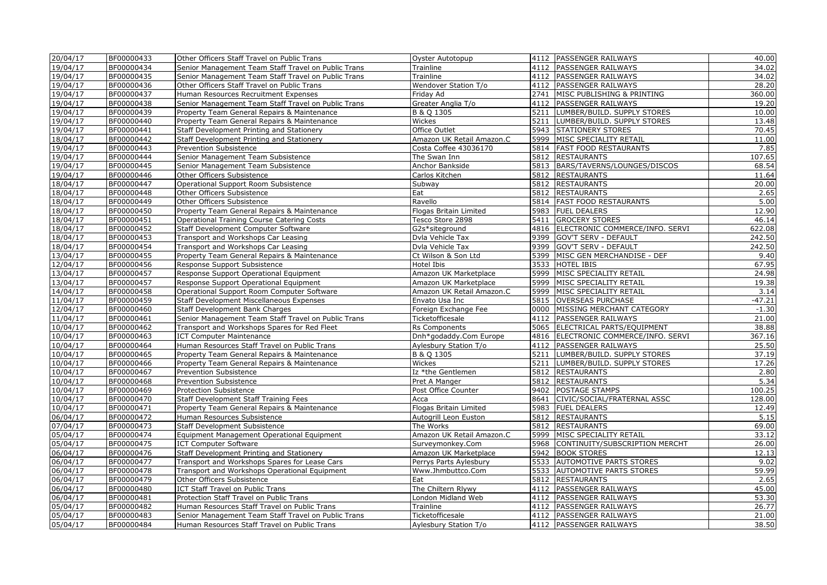| 19/04/17<br>BF00000434<br>4112 PASSENGER RAILWAYS<br>34.02<br>Senior Management Team Staff Travel on Public Trans<br>Trainline<br>BF00000435<br>Senior Management Team Staff Travel on Public Trans<br>34.02<br>19/04/17<br>Trainline<br>4112 PASSENGER RAILWAYS<br>19/04/17<br>BF00000436<br>Other Officers Staff Travel on Public Trans<br>Wendover Station T/o<br>4112 PASSENGER RAILWAYS<br>28.20<br>360.00<br>19/04/17<br>BF00000437<br>2741<br>MISC PUBLISHING & PRINTING<br>Human Resources Recruitment Expenses<br>Friday Ad<br>19.20<br>19/04/17<br>BF00000438<br>4112 PASSENGER RAILWAYS<br>Senior Management Team Staff Travel on Public Trans<br>Greater Anglia T/o<br>10.00<br>19/04/17<br>BF00000439<br>Property Team General Repairs & Maintenance<br>B & Q 1305<br>5211<br>LUMBER/BUILD. SUPPLY STORES<br>19/04/17<br>BF00000440<br>5211<br>LUMBER/BUILD. SUPPLY STORES<br>13.48<br>Property Team General Repairs & Maintenance<br>Wickes<br>19/04/17<br>BF00000441<br>Staff Development Printing and Stationery<br>5943 STATIONERY STORES<br>70.45<br>Office Outlet<br>BF00000442<br>5999 MISC SPECIALITY RETAIL<br>11.00<br>18/04/17<br>Staff Development Printing and Stationery<br>Amazon UK Retail Amazon.C<br>7.85<br>19/04/17<br>BF00000443<br>Costa Coffee 43036170<br>5814<br><b>FAST FOOD RESTAURANTS</b><br>Prevention Subsistence<br>107.65<br>19/04/17<br>BF00000444<br>Senior Management Team Subsistence<br>The Swan Inn<br>5812<br><b>RESTAURANTS</b><br>68.54<br>19/04/17<br>BF00000445<br>Senior Management Team Subsistence<br>Anchor Bankside<br>5813 BARS/TAVERNS/LOUNGES/DISCOS<br>19/04/17<br>BF00000446<br>Other Officers Subsistence<br>5812 RESTAURANTS<br>11.64<br>Carlos Kitchen<br>20.00<br>18/04/17<br>BF00000447<br>Operational Support Room Subsistence<br>5812 RESTAURANTS<br>Subway<br>18/04/17<br>BF00000448<br>5812 RESTAURANTS<br>2.65<br>Other Officers Subsistence<br>Eat<br>18/04/17<br>5814<br>5.00<br>BF00000449<br>Other Officers Subsistence<br>Ravello<br><b>FAST FOOD RESTAURANTS</b><br>12.90<br>18/04/17<br>BF00000450<br>Property Team General Repairs & Maintenance<br>Flogas Britain Limited<br>5983<br><b>FUEL DEALERS</b><br>46.14<br>18/04/17<br>BF00000451<br>5411<br><b>GROCERY STORES</b><br><b>Operational Training Course Catering Costs</b><br>Tesco Store 2898<br>18/04/17<br>4816 ELECTRONIC COMMERCE/INFO. SERVI<br>622.08<br>BF00000452<br>Staff Development Computer Software<br>G2s*siteground<br>BF00000453<br>9399 GOV'T SERV - DEFAULT<br>242.50<br>18/04/17<br>Transport and Workshops Car Leasing<br>Dvla Vehicle Tax<br>9399 GOV'T SERV - DEFAULT<br>242.50<br>18/04/17<br>BF00000454<br>Dvla Vehicle Tax<br>Transport and Workshops Car Leasing<br>13/04/17<br>BF00000455<br>5399<br>MISC GEN MERCHANDISE - DEF<br>9.40<br>Property Team General Repairs & Maintenance<br>Ct Wilson & Son Ltd<br>67.95<br>BF00000456<br>3533<br><b>HOTEL IBIS</b><br>12/04/17<br>Response Support Subsistence<br>Hotel Ibis<br>24.98<br>13/04/17<br>BF00000457<br>Response Support Operational Equipment<br>Amazon UK Marketplace<br>5999 MISC SPECIALITY RETAIL<br>13/04/17<br>BF00000457<br>5999 MISC SPECIALITY RETAIL<br>19.38<br>Response Support Operational Equipment<br>Amazon UK Marketplace<br>3.14<br>14/04/17<br>BF00000458<br>5999 MISC SPECIALITY RETAIL<br>Operational Support Room Computer Software<br>Amazon UK Retail Amazon.C<br>11/04/17<br>5815 OVERSEAS PURCHASE<br>$-47.21$<br>BF00000459<br>Staff Development Miscellaneous Expenses<br>Envato Usa Inc<br>$-1.30$<br>12/04/17<br>BF00000460<br>0000<br>MISSING MERCHANT CATEGORY<br>Staff Development Bank Charges<br>Foreign Exchange Fee<br>21.00<br>11/04/17<br>BF00000461<br>4112   PASSENGER RAILWAYS<br>Senior Management Team Staff Travel on Public Trans<br>Ticketofficesale<br>10/04/17<br>BF00000462<br>5065 ELECTRICAL PARTS/EQUIPMENT<br>38.88<br>Transport and Workshops Spares for Red Fleet<br>Rs Components<br>367.16<br>10/04/17<br>BF00000463<br><b>ICT Computer Maintenance</b><br>4816 ELECTRONIC COMMERCE/INFO. SERVI<br>Dnh*godaddy.Com Europe<br>25.50<br>10/04/17<br>BF00000464<br>Human Resources Staff Travel on Public Trans<br>Aylesbury Station T/o<br>4112   PASSENGER RAILWAYS<br>37.19<br>10/04/17<br>BF00000465<br>B & Q 1305<br>5211 LUMBER/BUILD. SUPPLY STORES<br>Property Team General Repairs & Maintenance<br>17.26<br>10/04/17<br>BF00000466<br>Wickes<br>5211 LUMBER/BUILD. SUPPLY STORES<br>Property Team General Repairs & Maintenance<br>2.80<br>10/04/17<br>BF00000467<br><b>Prevention Subsistence</b><br>Iz *the Gentlemen<br>5812 RESTAURANTS<br>5.34<br>10/04/17<br>BF00000468<br>5812 RESTAURANTS<br>Prevention Subsistence<br>Pret A Manger<br>100.25<br>10/04/17<br>BF00000469<br>Protection Subsistence<br>Post Office Counter<br>9402 POSTAGE STAMPS<br>128.00<br>10/04/17<br>BF00000470<br>Acca<br>8641<br>CIVIC/SOCIAL/FRATERNAL ASSC<br><b>Staff Development Staff Training Fees</b><br>12.49<br>10/04/17<br>BF00000471<br>Flogas Britain Limited<br>5983   FUEL DEALERS<br>Property Team General Repairs & Maintenance<br>5.15<br>06/04/17<br>BF00000472<br>Human Resources Subsistence<br>Autogrill Leon Euston<br>5812 RESTAURANTS<br>69.00<br>07/04/17<br>BF00000473<br><b>Staff Development Subsistence</b><br>The Works<br>5812 RESTAURANTS<br>33.12<br>05/04/17<br>BF00000474<br>Equipment Management Operational Equipment<br>Amazon UK Retail Amazon.C<br>5999 MISC SPECIALITY RETAIL<br>BF00000475<br>26.00<br>05/04/17<br><b>ICT Computer Software</b><br>Surveymonkey.Com<br>5968 CONTINUITY/SUBSCRIPTION MERCHT<br>06/04/17<br>12.13<br>BF00000476<br>Staff Development Printing and Stationery<br>Amazon UK Marketplace<br>5942 BOOK STORES<br>5533<br>9.02<br>06/04/17<br>BF00000477<br>Transport and Workshops Spares for Lease Cars<br>Perrys Parts Aylesbury<br><b>AUTOMOTIVE PARTS STORES</b><br>59.99<br>5533<br>06/04/17<br>BF00000478<br>Transport and Workshops Operational Equipment<br>Www.Jhmbuttco.Com<br><b>AUTOMOTIVE PARTS STORES</b><br>BF00000479<br><b>RESTAURANTS</b><br>2.65<br>06/04/17<br>Other Officers Subsistence<br>5812<br>Eat<br>4112 PASSENGER RAILWAYS<br>45.00<br>06/04/17<br>BF00000480<br>ICT Staff Travel on Public Trans<br>The Chiltern Rlywy<br>06/04/17<br>4112 PASSENGER RAILWAYS<br>53.30<br>BF00000481<br>Protection Staff Travel on Public Trans<br>London Midland Web<br>26.77<br>05/04/17<br>BF00000482<br>4112 PASSENGER RAILWAYS<br>Human Resources Staff Travel on Public Trans<br>Trainline<br>05/04/17<br>4112 PASSENGER RAILWAYS<br>21.00<br>BF00000483<br>Senior Management Team Staff Travel on Public Trans<br>Ticketofficesale<br>4112 PASSENGER RAILWAYS<br>38.50<br>05/04/17<br>BF00000484<br>Human Resources Staff Travel on Public Trans<br>Aylesbury Station T/o | 20/04/17 | BF00000433 | Other Officers Staff Travel on Public Trans | Oyster Autotopup | 4112 PASSENGER RAILWAYS | 40.00 |
|--------------------------------------------------------------------------------------------------------------------------------------------------------------------------------------------------------------------------------------------------------------------------------------------------------------------------------------------------------------------------------------------------------------------------------------------------------------------------------------------------------------------------------------------------------------------------------------------------------------------------------------------------------------------------------------------------------------------------------------------------------------------------------------------------------------------------------------------------------------------------------------------------------------------------------------------------------------------------------------------------------------------------------------------------------------------------------------------------------------------------------------------------------------------------------------------------------------------------------------------------------------------------------------------------------------------------------------------------------------------------------------------------------------------------------------------------------------------------------------------------------------------------------------------------------------------------------------------------------------------------------------------------------------------------------------------------------------------------------------------------------------------------------------------------------------------------------------------------------------------------------------------------------------------------------------------------------------------------------------------------------------------------------------------------------------------------------------------------------------------------------------------------------------------------------------------------------------------------------------------------------------------------------------------------------------------------------------------------------------------------------------------------------------------------------------------------------------------------------------------------------------------------------------------------------------------------------------------------------------------------------------------------------------------------------------------------------------------------------------------------------------------------------------------------------------------------------------------------------------------------------------------------------------------------------------------------------------------------------------------------------------------------------------------------------------------------------------------------------------------------------------------------------------------------------------------------------------------------------------------------------------------------------------------------------------------------------------------------------------------------------------------------------------------------------------------------------------------------------------------------------------------------------------------------------------------------------------------------------------------------------------------------------------------------------------------------------------------------------------------------------------------------------------------------------------------------------------------------------------------------------------------------------------------------------------------------------------------------------------------------------------------------------------------------------------------------------------------------------------------------------------------------------------------------------------------------------------------------------------------------------------------------------------------------------------------------------------------------------------------------------------------------------------------------------------------------------------------------------------------------------------------------------------------------------------------------------------------------------------------------------------------------------------------------------------------------------------------------------------------------------------------------------------------------------------------------------------------------------------------------------------------------------------------------------------------------------------------------------------------------------------------------------------------------------------------------------------------------------------------------------------------------------------------------------------------------------------------------------------------------------------------------------------------------------------------------------------------------------------------------------------------------------------------------------------------------------------------------------------------------------------------------------------------------------------------------------------------------------------------------------------------------------------------------------------------------------------------------------------------------------------------------------------------------------------------------------------------------------------------------------------------------------------------------------------------------------------------------------------------------------------------------------------------------------------------------------------------------------------------------------------------------------------------------------------------------------------------------------------------------------------------------------------------------------------------------------------------------------------------------------------------------------------------------------------------------------------------------------------------------------------------------------------------------------------------------------------------------------------------------------------------------------------------------------------------------------------------------------------------------------------------------------------------------------------------------------------------------------|----------|------------|---------------------------------------------|------------------|-------------------------|-------|
|                                                                                                                                                                                                                                                                                                                                                                                                                                                                                                                                                                                                                                                                                                                                                                                                                                                                                                                                                                                                                                                                                                                                                                                                                                                                                                                                                                                                                                                                                                                                                                                                                                                                                                                                                                                                                                                                                                                                                                                                                                                                                                                                                                                                                                                                                                                                                                                                                                                                                                                                                                                                                                                                                                                                                                                                                                                                                                                                                                                                                                                                                                                                                                                                                                                                                                                                                                                                                                                                                                                                                                                                                                                                                                                                                                                                                                                                                                                                                                                                                                                                                                                                                                                                                                                                                                                                                                                                                                                                                                                                                                                                                                                                                                                                                                                                                                                                                                                                                                                                                                                                                                                                                                                                                                                                                                                                                                                                                                                                                                                                                                                                                                                                                                                                                                                                                                                                                                                                                                                                                                                                                                                                                                                                                                                                                                                                                                                                                                                                                                                                                                                                                                                                                                                                                                                                                                                        |          |            |                                             |                  |                         |       |
|                                                                                                                                                                                                                                                                                                                                                                                                                                                                                                                                                                                                                                                                                                                                                                                                                                                                                                                                                                                                                                                                                                                                                                                                                                                                                                                                                                                                                                                                                                                                                                                                                                                                                                                                                                                                                                                                                                                                                                                                                                                                                                                                                                                                                                                                                                                                                                                                                                                                                                                                                                                                                                                                                                                                                                                                                                                                                                                                                                                                                                                                                                                                                                                                                                                                                                                                                                                                                                                                                                                                                                                                                                                                                                                                                                                                                                                                                                                                                                                                                                                                                                                                                                                                                                                                                                                                                                                                                                                                                                                                                                                                                                                                                                                                                                                                                                                                                                                                                                                                                                                                                                                                                                                                                                                                                                                                                                                                                                                                                                                                                                                                                                                                                                                                                                                                                                                                                                                                                                                                                                                                                                                                                                                                                                                                                                                                                                                                                                                                                                                                                                                                                                                                                                                                                                                                                                                        |          |            |                                             |                  |                         |       |
|                                                                                                                                                                                                                                                                                                                                                                                                                                                                                                                                                                                                                                                                                                                                                                                                                                                                                                                                                                                                                                                                                                                                                                                                                                                                                                                                                                                                                                                                                                                                                                                                                                                                                                                                                                                                                                                                                                                                                                                                                                                                                                                                                                                                                                                                                                                                                                                                                                                                                                                                                                                                                                                                                                                                                                                                                                                                                                                                                                                                                                                                                                                                                                                                                                                                                                                                                                                                                                                                                                                                                                                                                                                                                                                                                                                                                                                                                                                                                                                                                                                                                                                                                                                                                                                                                                                                                                                                                                                                                                                                                                                                                                                                                                                                                                                                                                                                                                                                                                                                                                                                                                                                                                                                                                                                                                                                                                                                                                                                                                                                                                                                                                                                                                                                                                                                                                                                                                                                                                                                                                                                                                                                                                                                                                                                                                                                                                                                                                                                                                                                                                                                                                                                                                                                                                                                                                                        |          |            |                                             |                  |                         |       |
|                                                                                                                                                                                                                                                                                                                                                                                                                                                                                                                                                                                                                                                                                                                                                                                                                                                                                                                                                                                                                                                                                                                                                                                                                                                                                                                                                                                                                                                                                                                                                                                                                                                                                                                                                                                                                                                                                                                                                                                                                                                                                                                                                                                                                                                                                                                                                                                                                                                                                                                                                                                                                                                                                                                                                                                                                                                                                                                                                                                                                                                                                                                                                                                                                                                                                                                                                                                                                                                                                                                                                                                                                                                                                                                                                                                                                                                                                                                                                                                                                                                                                                                                                                                                                                                                                                                                                                                                                                                                                                                                                                                                                                                                                                                                                                                                                                                                                                                                                                                                                                                                                                                                                                                                                                                                                                                                                                                                                                                                                                                                                                                                                                                                                                                                                                                                                                                                                                                                                                                                                                                                                                                                                                                                                                                                                                                                                                                                                                                                                                                                                                                                                                                                                                                                                                                                                                                        |          |            |                                             |                  |                         |       |
|                                                                                                                                                                                                                                                                                                                                                                                                                                                                                                                                                                                                                                                                                                                                                                                                                                                                                                                                                                                                                                                                                                                                                                                                                                                                                                                                                                                                                                                                                                                                                                                                                                                                                                                                                                                                                                                                                                                                                                                                                                                                                                                                                                                                                                                                                                                                                                                                                                                                                                                                                                                                                                                                                                                                                                                                                                                                                                                                                                                                                                                                                                                                                                                                                                                                                                                                                                                                                                                                                                                                                                                                                                                                                                                                                                                                                                                                                                                                                                                                                                                                                                                                                                                                                                                                                                                                                                                                                                                                                                                                                                                                                                                                                                                                                                                                                                                                                                                                                                                                                                                                                                                                                                                                                                                                                                                                                                                                                                                                                                                                                                                                                                                                                                                                                                                                                                                                                                                                                                                                                                                                                                                                                                                                                                                                                                                                                                                                                                                                                                                                                                                                                                                                                                                                                                                                                                                        |          |            |                                             |                  |                         |       |
|                                                                                                                                                                                                                                                                                                                                                                                                                                                                                                                                                                                                                                                                                                                                                                                                                                                                                                                                                                                                                                                                                                                                                                                                                                                                                                                                                                                                                                                                                                                                                                                                                                                                                                                                                                                                                                                                                                                                                                                                                                                                                                                                                                                                                                                                                                                                                                                                                                                                                                                                                                                                                                                                                                                                                                                                                                                                                                                                                                                                                                                                                                                                                                                                                                                                                                                                                                                                                                                                                                                                                                                                                                                                                                                                                                                                                                                                                                                                                                                                                                                                                                                                                                                                                                                                                                                                                                                                                                                                                                                                                                                                                                                                                                                                                                                                                                                                                                                                                                                                                                                                                                                                                                                                                                                                                                                                                                                                                                                                                                                                                                                                                                                                                                                                                                                                                                                                                                                                                                                                                                                                                                                                                                                                                                                                                                                                                                                                                                                                                                                                                                                                                                                                                                                                                                                                                                                        |          |            |                                             |                  |                         |       |
|                                                                                                                                                                                                                                                                                                                                                                                                                                                                                                                                                                                                                                                                                                                                                                                                                                                                                                                                                                                                                                                                                                                                                                                                                                                                                                                                                                                                                                                                                                                                                                                                                                                                                                                                                                                                                                                                                                                                                                                                                                                                                                                                                                                                                                                                                                                                                                                                                                                                                                                                                                                                                                                                                                                                                                                                                                                                                                                                                                                                                                                                                                                                                                                                                                                                                                                                                                                                                                                                                                                                                                                                                                                                                                                                                                                                                                                                                                                                                                                                                                                                                                                                                                                                                                                                                                                                                                                                                                                                                                                                                                                                                                                                                                                                                                                                                                                                                                                                                                                                                                                                                                                                                                                                                                                                                                                                                                                                                                                                                                                                                                                                                                                                                                                                                                                                                                                                                                                                                                                                                                                                                                                                                                                                                                                                                                                                                                                                                                                                                                                                                                                                                                                                                                                                                                                                                                                        |          |            |                                             |                  |                         |       |
|                                                                                                                                                                                                                                                                                                                                                                                                                                                                                                                                                                                                                                                                                                                                                                                                                                                                                                                                                                                                                                                                                                                                                                                                                                                                                                                                                                                                                                                                                                                                                                                                                                                                                                                                                                                                                                                                                                                                                                                                                                                                                                                                                                                                                                                                                                                                                                                                                                                                                                                                                                                                                                                                                                                                                                                                                                                                                                                                                                                                                                                                                                                                                                                                                                                                                                                                                                                                                                                                                                                                                                                                                                                                                                                                                                                                                                                                                                                                                                                                                                                                                                                                                                                                                                                                                                                                                                                                                                                                                                                                                                                                                                                                                                                                                                                                                                                                                                                                                                                                                                                                                                                                                                                                                                                                                                                                                                                                                                                                                                                                                                                                                                                                                                                                                                                                                                                                                                                                                                                                                                                                                                                                                                                                                                                                                                                                                                                                                                                                                                                                                                                                                                                                                                                                                                                                                                                        |          |            |                                             |                  |                         |       |
|                                                                                                                                                                                                                                                                                                                                                                                                                                                                                                                                                                                                                                                                                                                                                                                                                                                                                                                                                                                                                                                                                                                                                                                                                                                                                                                                                                                                                                                                                                                                                                                                                                                                                                                                                                                                                                                                                                                                                                                                                                                                                                                                                                                                                                                                                                                                                                                                                                                                                                                                                                                                                                                                                                                                                                                                                                                                                                                                                                                                                                                                                                                                                                                                                                                                                                                                                                                                                                                                                                                                                                                                                                                                                                                                                                                                                                                                                                                                                                                                                                                                                                                                                                                                                                                                                                                                                                                                                                                                                                                                                                                                                                                                                                                                                                                                                                                                                                                                                                                                                                                                                                                                                                                                                                                                                                                                                                                                                                                                                                                                                                                                                                                                                                                                                                                                                                                                                                                                                                                                                                                                                                                                                                                                                                                                                                                                                                                                                                                                                                                                                                                                                                                                                                                                                                                                                                                        |          |            |                                             |                  |                         |       |
|                                                                                                                                                                                                                                                                                                                                                                                                                                                                                                                                                                                                                                                                                                                                                                                                                                                                                                                                                                                                                                                                                                                                                                                                                                                                                                                                                                                                                                                                                                                                                                                                                                                                                                                                                                                                                                                                                                                                                                                                                                                                                                                                                                                                                                                                                                                                                                                                                                                                                                                                                                                                                                                                                                                                                                                                                                                                                                                                                                                                                                                                                                                                                                                                                                                                                                                                                                                                                                                                                                                                                                                                                                                                                                                                                                                                                                                                                                                                                                                                                                                                                                                                                                                                                                                                                                                                                                                                                                                                                                                                                                                                                                                                                                                                                                                                                                                                                                                                                                                                                                                                                                                                                                                                                                                                                                                                                                                                                                                                                                                                                                                                                                                                                                                                                                                                                                                                                                                                                                                                                                                                                                                                                                                                                                                                                                                                                                                                                                                                                                                                                                                                                                                                                                                                                                                                                                                        |          |            |                                             |                  |                         |       |
|                                                                                                                                                                                                                                                                                                                                                                                                                                                                                                                                                                                                                                                                                                                                                                                                                                                                                                                                                                                                                                                                                                                                                                                                                                                                                                                                                                                                                                                                                                                                                                                                                                                                                                                                                                                                                                                                                                                                                                                                                                                                                                                                                                                                                                                                                                                                                                                                                                                                                                                                                                                                                                                                                                                                                                                                                                                                                                                                                                                                                                                                                                                                                                                                                                                                                                                                                                                                                                                                                                                                                                                                                                                                                                                                                                                                                                                                                                                                                                                                                                                                                                                                                                                                                                                                                                                                                                                                                                                                                                                                                                                                                                                                                                                                                                                                                                                                                                                                                                                                                                                                                                                                                                                                                                                                                                                                                                                                                                                                                                                                                                                                                                                                                                                                                                                                                                                                                                                                                                                                                                                                                                                                                                                                                                                                                                                                                                                                                                                                                                                                                                                                                                                                                                                                                                                                                                                        |          |            |                                             |                  |                         |       |
|                                                                                                                                                                                                                                                                                                                                                                                                                                                                                                                                                                                                                                                                                                                                                                                                                                                                                                                                                                                                                                                                                                                                                                                                                                                                                                                                                                                                                                                                                                                                                                                                                                                                                                                                                                                                                                                                                                                                                                                                                                                                                                                                                                                                                                                                                                                                                                                                                                                                                                                                                                                                                                                                                                                                                                                                                                                                                                                                                                                                                                                                                                                                                                                                                                                                                                                                                                                                                                                                                                                                                                                                                                                                                                                                                                                                                                                                                                                                                                                                                                                                                                                                                                                                                                                                                                                                                                                                                                                                                                                                                                                                                                                                                                                                                                                                                                                                                                                                                                                                                                                                                                                                                                                                                                                                                                                                                                                                                                                                                                                                                                                                                                                                                                                                                                                                                                                                                                                                                                                                                                                                                                                                                                                                                                                                                                                                                                                                                                                                                                                                                                                                                                                                                                                                                                                                                                                        |          |            |                                             |                  |                         |       |
|                                                                                                                                                                                                                                                                                                                                                                                                                                                                                                                                                                                                                                                                                                                                                                                                                                                                                                                                                                                                                                                                                                                                                                                                                                                                                                                                                                                                                                                                                                                                                                                                                                                                                                                                                                                                                                                                                                                                                                                                                                                                                                                                                                                                                                                                                                                                                                                                                                                                                                                                                                                                                                                                                                                                                                                                                                                                                                                                                                                                                                                                                                                                                                                                                                                                                                                                                                                                                                                                                                                                                                                                                                                                                                                                                                                                                                                                                                                                                                                                                                                                                                                                                                                                                                                                                                                                                                                                                                                                                                                                                                                                                                                                                                                                                                                                                                                                                                                                                                                                                                                                                                                                                                                                                                                                                                                                                                                                                                                                                                                                                                                                                                                                                                                                                                                                                                                                                                                                                                                                                                                                                                                                                                                                                                                                                                                                                                                                                                                                                                                                                                                                                                                                                                                                                                                                                                                        |          |            |                                             |                  |                         |       |
|                                                                                                                                                                                                                                                                                                                                                                                                                                                                                                                                                                                                                                                                                                                                                                                                                                                                                                                                                                                                                                                                                                                                                                                                                                                                                                                                                                                                                                                                                                                                                                                                                                                                                                                                                                                                                                                                                                                                                                                                                                                                                                                                                                                                                                                                                                                                                                                                                                                                                                                                                                                                                                                                                                                                                                                                                                                                                                                                                                                                                                                                                                                                                                                                                                                                                                                                                                                                                                                                                                                                                                                                                                                                                                                                                                                                                                                                                                                                                                                                                                                                                                                                                                                                                                                                                                                                                                                                                                                                                                                                                                                                                                                                                                                                                                                                                                                                                                                                                                                                                                                                                                                                                                                                                                                                                                                                                                                                                                                                                                                                                                                                                                                                                                                                                                                                                                                                                                                                                                                                                                                                                                                                                                                                                                                                                                                                                                                                                                                                                                                                                                                                                                                                                                                                                                                                                                                        |          |            |                                             |                  |                         |       |
|                                                                                                                                                                                                                                                                                                                                                                                                                                                                                                                                                                                                                                                                                                                                                                                                                                                                                                                                                                                                                                                                                                                                                                                                                                                                                                                                                                                                                                                                                                                                                                                                                                                                                                                                                                                                                                                                                                                                                                                                                                                                                                                                                                                                                                                                                                                                                                                                                                                                                                                                                                                                                                                                                                                                                                                                                                                                                                                                                                                                                                                                                                                                                                                                                                                                                                                                                                                                                                                                                                                                                                                                                                                                                                                                                                                                                                                                                                                                                                                                                                                                                                                                                                                                                                                                                                                                                                                                                                                                                                                                                                                                                                                                                                                                                                                                                                                                                                                                                                                                                                                                                                                                                                                                                                                                                                                                                                                                                                                                                                                                                                                                                                                                                                                                                                                                                                                                                                                                                                                                                                                                                                                                                                                                                                                                                                                                                                                                                                                                                                                                                                                                                                                                                                                                                                                                                                                        |          |            |                                             |                  |                         |       |
|                                                                                                                                                                                                                                                                                                                                                                                                                                                                                                                                                                                                                                                                                                                                                                                                                                                                                                                                                                                                                                                                                                                                                                                                                                                                                                                                                                                                                                                                                                                                                                                                                                                                                                                                                                                                                                                                                                                                                                                                                                                                                                                                                                                                                                                                                                                                                                                                                                                                                                                                                                                                                                                                                                                                                                                                                                                                                                                                                                                                                                                                                                                                                                                                                                                                                                                                                                                                                                                                                                                                                                                                                                                                                                                                                                                                                                                                                                                                                                                                                                                                                                                                                                                                                                                                                                                                                                                                                                                                                                                                                                                                                                                                                                                                                                                                                                                                                                                                                                                                                                                                                                                                                                                                                                                                                                                                                                                                                                                                                                                                                                                                                                                                                                                                                                                                                                                                                                                                                                                                                                                                                                                                                                                                                                                                                                                                                                                                                                                                                                                                                                                                                                                                                                                                                                                                                                                        |          |            |                                             |                  |                         |       |
|                                                                                                                                                                                                                                                                                                                                                                                                                                                                                                                                                                                                                                                                                                                                                                                                                                                                                                                                                                                                                                                                                                                                                                                                                                                                                                                                                                                                                                                                                                                                                                                                                                                                                                                                                                                                                                                                                                                                                                                                                                                                                                                                                                                                                                                                                                                                                                                                                                                                                                                                                                                                                                                                                                                                                                                                                                                                                                                                                                                                                                                                                                                                                                                                                                                                                                                                                                                                                                                                                                                                                                                                                                                                                                                                                                                                                                                                                                                                                                                                                                                                                                                                                                                                                                                                                                                                                                                                                                                                                                                                                                                                                                                                                                                                                                                                                                                                                                                                                                                                                                                                                                                                                                                                                                                                                                                                                                                                                                                                                                                                                                                                                                                                                                                                                                                                                                                                                                                                                                                                                                                                                                                                                                                                                                                                                                                                                                                                                                                                                                                                                                                                                                                                                                                                                                                                                                                        |          |            |                                             |                  |                         |       |
|                                                                                                                                                                                                                                                                                                                                                                                                                                                                                                                                                                                                                                                                                                                                                                                                                                                                                                                                                                                                                                                                                                                                                                                                                                                                                                                                                                                                                                                                                                                                                                                                                                                                                                                                                                                                                                                                                                                                                                                                                                                                                                                                                                                                                                                                                                                                                                                                                                                                                                                                                                                                                                                                                                                                                                                                                                                                                                                                                                                                                                                                                                                                                                                                                                                                                                                                                                                                                                                                                                                                                                                                                                                                                                                                                                                                                                                                                                                                                                                                                                                                                                                                                                                                                                                                                                                                                                                                                                                                                                                                                                                                                                                                                                                                                                                                                                                                                                                                                                                                                                                                                                                                                                                                                                                                                                                                                                                                                                                                                                                                                                                                                                                                                                                                                                                                                                                                                                                                                                                                                                                                                                                                                                                                                                                                                                                                                                                                                                                                                                                                                                                                                                                                                                                                                                                                                                                        |          |            |                                             |                  |                         |       |
|                                                                                                                                                                                                                                                                                                                                                                                                                                                                                                                                                                                                                                                                                                                                                                                                                                                                                                                                                                                                                                                                                                                                                                                                                                                                                                                                                                                                                                                                                                                                                                                                                                                                                                                                                                                                                                                                                                                                                                                                                                                                                                                                                                                                                                                                                                                                                                                                                                                                                                                                                                                                                                                                                                                                                                                                                                                                                                                                                                                                                                                                                                                                                                                                                                                                                                                                                                                                                                                                                                                                                                                                                                                                                                                                                                                                                                                                                                                                                                                                                                                                                                                                                                                                                                                                                                                                                                                                                                                                                                                                                                                                                                                                                                                                                                                                                                                                                                                                                                                                                                                                                                                                                                                                                                                                                                                                                                                                                                                                                                                                                                                                                                                                                                                                                                                                                                                                                                                                                                                                                                                                                                                                                                                                                                                                                                                                                                                                                                                                                                                                                                                                                                                                                                                                                                                                                                                        |          |            |                                             |                  |                         |       |
|                                                                                                                                                                                                                                                                                                                                                                                                                                                                                                                                                                                                                                                                                                                                                                                                                                                                                                                                                                                                                                                                                                                                                                                                                                                                                                                                                                                                                                                                                                                                                                                                                                                                                                                                                                                                                                                                                                                                                                                                                                                                                                                                                                                                                                                                                                                                                                                                                                                                                                                                                                                                                                                                                                                                                                                                                                                                                                                                                                                                                                                                                                                                                                                                                                                                                                                                                                                                                                                                                                                                                                                                                                                                                                                                                                                                                                                                                                                                                                                                                                                                                                                                                                                                                                                                                                                                                                                                                                                                                                                                                                                                                                                                                                                                                                                                                                                                                                                                                                                                                                                                                                                                                                                                                                                                                                                                                                                                                                                                                                                                                                                                                                                                                                                                                                                                                                                                                                                                                                                                                                                                                                                                                                                                                                                                                                                                                                                                                                                                                                                                                                                                                                                                                                                                                                                                                                                        |          |            |                                             |                  |                         |       |
|                                                                                                                                                                                                                                                                                                                                                                                                                                                                                                                                                                                                                                                                                                                                                                                                                                                                                                                                                                                                                                                                                                                                                                                                                                                                                                                                                                                                                                                                                                                                                                                                                                                                                                                                                                                                                                                                                                                                                                                                                                                                                                                                                                                                                                                                                                                                                                                                                                                                                                                                                                                                                                                                                                                                                                                                                                                                                                                                                                                                                                                                                                                                                                                                                                                                                                                                                                                                                                                                                                                                                                                                                                                                                                                                                                                                                                                                                                                                                                                                                                                                                                                                                                                                                                                                                                                                                                                                                                                                                                                                                                                                                                                                                                                                                                                                                                                                                                                                                                                                                                                                                                                                                                                                                                                                                                                                                                                                                                                                                                                                                                                                                                                                                                                                                                                                                                                                                                                                                                                                                                                                                                                                                                                                                                                                                                                                                                                                                                                                                                                                                                                                                                                                                                                                                                                                                                                        |          |            |                                             |                  |                         |       |
|                                                                                                                                                                                                                                                                                                                                                                                                                                                                                                                                                                                                                                                                                                                                                                                                                                                                                                                                                                                                                                                                                                                                                                                                                                                                                                                                                                                                                                                                                                                                                                                                                                                                                                                                                                                                                                                                                                                                                                                                                                                                                                                                                                                                                                                                                                                                                                                                                                                                                                                                                                                                                                                                                                                                                                                                                                                                                                                                                                                                                                                                                                                                                                                                                                                                                                                                                                                                                                                                                                                                                                                                                                                                                                                                                                                                                                                                                                                                                                                                                                                                                                                                                                                                                                                                                                                                                                                                                                                                                                                                                                                                                                                                                                                                                                                                                                                                                                                                                                                                                                                                                                                                                                                                                                                                                                                                                                                                                                                                                                                                                                                                                                                                                                                                                                                                                                                                                                                                                                                                                                                                                                                                                                                                                                                                                                                                                                                                                                                                                                                                                                                                                                                                                                                                                                                                                                                        |          |            |                                             |                  |                         |       |
|                                                                                                                                                                                                                                                                                                                                                                                                                                                                                                                                                                                                                                                                                                                                                                                                                                                                                                                                                                                                                                                                                                                                                                                                                                                                                                                                                                                                                                                                                                                                                                                                                                                                                                                                                                                                                                                                                                                                                                                                                                                                                                                                                                                                                                                                                                                                                                                                                                                                                                                                                                                                                                                                                                                                                                                                                                                                                                                                                                                                                                                                                                                                                                                                                                                                                                                                                                                                                                                                                                                                                                                                                                                                                                                                                                                                                                                                                                                                                                                                                                                                                                                                                                                                                                                                                                                                                                                                                                                                                                                                                                                                                                                                                                                                                                                                                                                                                                                                                                                                                                                                                                                                                                                                                                                                                                                                                                                                                                                                                                                                                                                                                                                                                                                                                                                                                                                                                                                                                                                                                                                                                                                                                                                                                                                                                                                                                                                                                                                                                                                                                                                                                                                                                                                                                                                                                                                        |          |            |                                             |                  |                         |       |
|                                                                                                                                                                                                                                                                                                                                                                                                                                                                                                                                                                                                                                                                                                                                                                                                                                                                                                                                                                                                                                                                                                                                                                                                                                                                                                                                                                                                                                                                                                                                                                                                                                                                                                                                                                                                                                                                                                                                                                                                                                                                                                                                                                                                                                                                                                                                                                                                                                                                                                                                                                                                                                                                                                                                                                                                                                                                                                                                                                                                                                                                                                                                                                                                                                                                                                                                                                                                                                                                                                                                                                                                                                                                                                                                                                                                                                                                                                                                                                                                                                                                                                                                                                                                                                                                                                                                                                                                                                                                                                                                                                                                                                                                                                                                                                                                                                                                                                                                                                                                                                                                                                                                                                                                                                                                                                                                                                                                                                                                                                                                                                                                                                                                                                                                                                                                                                                                                                                                                                                                                                                                                                                                                                                                                                                                                                                                                                                                                                                                                                                                                                                                                                                                                                                                                                                                                                                        |          |            |                                             |                  |                         |       |
|                                                                                                                                                                                                                                                                                                                                                                                                                                                                                                                                                                                                                                                                                                                                                                                                                                                                                                                                                                                                                                                                                                                                                                                                                                                                                                                                                                                                                                                                                                                                                                                                                                                                                                                                                                                                                                                                                                                                                                                                                                                                                                                                                                                                                                                                                                                                                                                                                                                                                                                                                                                                                                                                                                                                                                                                                                                                                                                                                                                                                                                                                                                                                                                                                                                                                                                                                                                                                                                                                                                                                                                                                                                                                                                                                                                                                                                                                                                                                                                                                                                                                                                                                                                                                                                                                                                                                                                                                                                                                                                                                                                                                                                                                                                                                                                                                                                                                                                                                                                                                                                                                                                                                                                                                                                                                                                                                                                                                                                                                                                                                                                                                                                                                                                                                                                                                                                                                                                                                                                                                                                                                                                                                                                                                                                                                                                                                                                                                                                                                                                                                                                                                                                                                                                                                                                                                                                        |          |            |                                             |                  |                         |       |
|                                                                                                                                                                                                                                                                                                                                                                                                                                                                                                                                                                                                                                                                                                                                                                                                                                                                                                                                                                                                                                                                                                                                                                                                                                                                                                                                                                                                                                                                                                                                                                                                                                                                                                                                                                                                                                                                                                                                                                                                                                                                                                                                                                                                                                                                                                                                                                                                                                                                                                                                                                                                                                                                                                                                                                                                                                                                                                                                                                                                                                                                                                                                                                                                                                                                                                                                                                                                                                                                                                                                                                                                                                                                                                                                                                                                                                                                                                                                                                                                                                                                                                                                                                                                                                                                                                                                                                                                                                                                                                                                                                                                                                                                                                                                                                                                                                                                                                                                                                                                                                                                                                                                                                                                                                                                                                                                                                                                                                                                                                                                                                                                                                                                                                                                                                                                                                                                                                                                                                                                                                                                                                                                                                                                                                                                                                                                                                                                                                                                                                                                                                                                                                                                                                                                                                                                                                                        |          |            |                                             |                  |                         |       |
|                                                                                                                                                                                                                                                                                                                                                                                                                                                                                                                                                                                                                                                                                                                                                                                                                                                                                                                                                                                                                                                                                                                                                                                                                                                                                                                                                                                                                                                                                                                                                                                                                                                                                                                                                                                                                                                                                                                                                                                                                                                                                                                                                                                                                                                                                                                                                                                                                                                                                                                                                                                                                                                                                                                                                                                                                                                                                                                                                                                                                                                                                                                                                                                                                                                                                                                                                                                                                                                                                                                                                                                                                                                                                                                                                                                                                                                                                                                                                                                                                                                                                                                                                                                                                                                                                                                                                                                                                                                                                                                                                                                                                                                                                                                                                                                                                                                                                                                                                                                                                                                                                                                                                                                                                                                                                                                                                                                                                                                                                                                                                                                                                                                                                                                                                                                                                                                                                                                                                                                                                                                                                                                                                                                                                                                                                                                                                                                                                                                                                                                                                                                                                                                                                                                                                                                                                                                        |          |            |                                             |                  |                         |       |
|                                                                                                                                                                                                                                                                                                                                                                                                                                                                                                                                                                                                                                                                                                                                                                                                                                                                                                                                                                                                                                                                                                                                                                                                                                                                                                                                                                                                                                                                                                                                                                                                                                                                                                                                                                                                                                                                                                                                                                                                                                                                                                                                                                                                                                                                                                                                                                                                                                                                                                                                                                                                                                                                                                                                                                                                                                                                                                                                                                                                                                                                                                                                                                                                                                                                                                                                                                                                                                                                                                                                                                                                                                                                                                                                                                                                                                                                                                                                                                                                                                                                                                                                                                                                                                                                                                                                                                                                                                                                                                                                                                                                                                                                                                                                                                                                                                                                                                                                                                                                                                                                                                                                                                                                                                                                                                                                                                                                                                                                                                                                                                                                                                                                                                                                                                                                                                                                                                                                                                                                                                                                                                                                                                                                                                                                                                                                                                                                                                                                                                                                                                                                                                                                                                                                                                                                                                                        |          |            |                                             |                  |                         |       |
|                                                                                                                                                                                                                                                                                                                                                                                                                                                                                                                                                                                                                                                                                                                                                                                                                                                                                                                                                                                                                                                                                                                                                                                                                                                                                                                                                                                                                                                                                                                                                                                                                                                                                                                                                                                                                                                                                                                                                                                                                                                                                                                                                                                                                                                                                                                                                                                                                                                                                                                                                                                                                                                                                                                                                                                                                                                                                                                                                                                                                                                                                                                                                                                                                                                                                                                                                                                                                                                                                                                                                                                                                                                                                                                                                                                                                                                                                                                                                                                                                                                                                                                                                                                                                                                                                                                                                                                                                                                                                                                                                                                                                                                                                                                                                                                                                                                                                                                                                                                                                                                                                                                                                                                                                                                                                                                                                                                                                                                                                                                                                                                                                                                                                                                                                                                                                                                                                                                                                                                                                                                                                                                                                                                                                                                                                                                                                                                                                                                                                                                                                                                                                                                                                                                                                                                                                                                        |          |            |                                             |                  |                         |       |
|                                                                                                                                                                                                                                                                                                                                                                                                                                                                                                                                                                                                                                                                                                                                                                                                                                                                                                                                                                                                                                                                                                                                                                                                                                                                                                                                                                                                                                                                                                                                                                                                                                                                                                                                                                                                                                                                                                                                                                                                                                                                                                                                                                                                                                                                                                                                                                                                                                                                                                                                                                                                                                                                                                                                                                                                                                                                                                                                                                                                                                                                                                                                                                                                                                                                                                                                                                                                                                                                                                                                                                                                                                                                                                                                                                                                                                                                                                                                                                                                                                                                                                                                                                                                                                                                                                                                                                                                                                                                                                                                                                                                                                                                                                                                                                                                                                                                                                                                                                                                                                                                                                                                                                                                                                                                                                                                                                                                                                                                                                                                                                                                                                                                                                                                                                                                                                                                                                                                                                                                                                                                                                                                                                                                                                                                                                                                                                                                                                                                                                                                                                                                                                                                                                                                                                                                                                                        |          |            |                                             |                  |                         |       |
|                                                                                                                                                                                                                                                                                                                                                                                                                                                                                                                                                                                                                                                                                                                                                                                                                                                                                                                                                                                                                                                                                                                                                                                                                                                                                                                                                                                                                                                                                                                                                                                                                                                                                                                                                                                                                                                                                                                                                                                                                                                                                                                                                                                                                                                                                                                                                                                                                                                                                                                                                                                                                                                                                                                                                                                                                                                                                                                                                                                                                                                                                                                                                                                                                                                                                                                                                                                                                                                                                                                                                                                                                                                                                                                                                                                                                                                                                                                                                                                                                                                                                                                                                                                                                                                                                                                                                                                                                                                                                                                                                                                                                                                                                                                                                                                                                                                                                                                                                                                                                                                                                                                                                                                                                                                                                                                                                                                                                                                                                                                                                                                                                                                                                                                                                                                                                                                                                                                                                                                                                                                                                                                                                                                                                                                                                                                                                                                                                                                                                                                                                                                                                                                                                                                                                                                                                                                        |          |            |                                             |                  |                         |       |
|                                                                                                                                                                                                                                                                                                                                                                                                                                                                                                                                                                                                                                                                                                                                                                                                                                                                                                                                                                                                                                                                                                                                                                                                                                                                                                                                                                                                                                                                                                                                                                                                                                                                                                                                                                                                                                                                                                                                                                                                                                                                                                                                                                                                                                                                                                                                                                                                                                                                                                                                                                                                                                                                                                                                                                                                                                                                                                                                                                                                                                                                                                                                                                                                                                                                                                                                                                                                                                                                                                                                                                                                                                                                                                                                                                                                                                                                                                                                                                                                                                                                                                                                                                                                                                                                                                                                                                                                                                                                                                                                                                                                                                                                                                                                                                                                                                                                                                                                                                                                                                                                                                                                                                                                                                                                                                                                                                                                                                                                                                                                                                                                                                                                                                                                                                                                                                                                                                                                                                                                                                                                                                                                                                                                                                                                                                                                                                                                                                                                                                                                                                                                                                                                                                                                                                                                                                                        |          |            |                                             |                  |                         |       |
|                                                                                                                                                                                                                                                                                                                                                                                                                                                                                                                                                                                                                                                                                                                                                                                                                                                                                                                                                                                                                                                                                                                                                                                                                                                                                                                                                                                                                                                                                                                                                                                                                                                                                                                                                                                                                                                                                                                                                                                                                                                                                                                                                                                                                                                                                                                                                                                                                                                                                                                                                                                                                                                                                                                                                                                                                                                                                                                                                                                                                                                                                                                                                                                                                                                                                                                                                                                                                                                                                                                                                                                                                                                                                                                                                                                                                                                                                                                                                                                                                                                                                                                                                                                                                                                                                                                                                                                                                                                                                                                                                                                                                                                                                                                                                                                                                                                                                                                                                                                                                                                                                                                                                                                                                                                                                                                                                                                                                                                                                                                                                                                                                                                                                                                                                                                                                                                                                                                                                                                                                                                                                                                                                                                                                                                                                                                                                                                                                                                                                                                                                                                                                                                                                                                                                                                                                                                        |          |            |                                             |                  |                         |       |
|                                                                                                                                                                                                                                                                                                                                                                                                                                                                                                                                                                                                                                                                                                                                                                                                                                                                                                                                                                                                                                                                                                                                                                                                                                                                                                                                                                                                                                                                                                                                                                                                                                                                                                                                                                                                                                                                                                                                                                                                                                                                                                                                                                                                                                                                                                                                                                                                                                                                                                                                                                                                                                                                                                                                                                                                                                                                                                                                                                                                                                                                                                                                                                                                                                                                                                                                                                                                                                                                                                                                                                                                                                                                                                                                                                                                                                                                                                                                                                                                                                                                                                                                                                                                                                                                                                                                                                                                                                                                                                                                                                                                                                                                                                                                                                                                                                                                                                                                                                                                                                                                                                                                                                                                                                                                                                                                                                                                                                                                                                                                                                                                                                                                                                                                                                                                                                                                                                                                                                                                                                                                                                                                                                                                                                                                                                                                                                                                                                                                                                                                                                                                                                                                                                                                                                                                                                                        |          |            |                                             |                  |                         |       |
|                                                                                                                                                                                                                                                                                                                                                                                                                                                                                                                                                                                                                                                                                                                                                                                                                                                                                                                                                                                                                                                                                                                                                                                                                                                                                                                                                                                                                                                                                                                                                                                                                                                                                                                                                                                                                                                                                                                                                                                                                                                                                                                                                                                                                                                                                                                                                                                                                                                                                                                                                                                                                                                                                                                                                                                                                                                                                                                                                                                                                                                                                                                                                                                                                                                                                                                                                                                                                                                                                                                                                                                                                                                                                                                                                                                                                                                                                                                                                                                                                                                                                                                                                                                                                                                                                                                                                                                                                                                                                                                                                                                                                                                                                                                                                                                                                                                                                                                                                                                                                                                                                                                                                                                                                                                                                                                                                                                                                                                                                                                                                                                                                                                                                                                                                                                                                                                                                                                                                                                                                                                                                                                                                                                                                                                                                                                                                                                                                                                                                                                                                                                                                                                                                                                                                                                                                                                        |          |            |                                             |                  |                         |       |
|                                                                                                                                                                                                                                                                                                                                                                                                                                                                                                                                                                                                                                                                                                                                                                                                                                                                                                                                                                                                                                                                                                                                                                                                                                                                                                                                                                                                                                                                                                                                                                                                                                                                                                                                                                                                                                                                                                                                                                                                                                                                                                                                                                                                                                                                                                                                                                                                                                                                                                                                                                                                                                                                                                                                                                                                                                                                                                                                                                                                                                                                                                                                                                                                                                                                                                                                                                                                                                                                                                                                                                                                                                                                                                                                                                                                                                                                                                                                                                                                                                                                                                                                                                                                                                                                                                                                                                                                                                                                                                                                                                                                                                                                                                                                                                                                                                                                                                                                                                                                                                                                                                                                                                                                                                                                                                                                                                                                                                                                                                                                                                                                                                                                                                                                                                                                                                                                                                                                                                                                                                                                                                                                                                                                                                                                                                                                                                                                                                                                                                                                                                                                                                                                                                                                                                                                                                                        |          |            |                                             |                  |                         |       |
|                                                                                                                                                                                                                                                                                                                                                                                                                                                                                                                                                                                                                                                                                                                                                                                                                                                                                                                                                                                                                                                                                                                                                                                                                                                                                                                                                                                                                                                                                                                                                                                                                                                                                                                                                                                                                                                                                                                                                                                                                                                                                                                                                                                                                                                                                                                                                                                                                                                                                                                                                                                                                                                                                                                                                                                                                                                                                                                                                                                                                                                                                                                                                                                                                                                                                                                                                                                                                                                                                                                                                                                                                                                                                                                                                                                                                                                                                                                                                                                                                                                                                                                                                                                                                                                                                                                                                                                                                                                                                                                                                                                                                                                                                                                                                                                                                                                                                                                                                                                                                                                                                                                                                                                                                                                                                                                                                                                                                                                                                                                                                                                                                                                                                                                                                                                                                                                                                                                                                                                                                                                                                                                                                                                                                                                                                                                                                                                                                                                                                                                                                                                                                                                                                                                                                                                                                                                        |          |            |                                             |                  |                         |       |
|                                                                                                                                                                                                                                                                                                                                                                                                                                                                                                                                                                                                                                                                                                                                                                                                                                                                                                                                                                                                                                                                                                                                                                                                                                                                                                                                                                                                                                                                                                                                                                                                                                                                                                                                                                                                                                                                                                                                                                                                                                                                                                                                                                                                                                                                                                                                                                                                                                                                                                                                                                                                                                                                                                                                                                                                                                                                                                                                                                                                                                                                                                                                                                                                                                                                                                                                                                                                                                                                                                                                                                                                                                                                                                                                                                                                                                                                                                                                                                                                                                                                                                                                                                                                                                                                                                                                                                                                                                                                                                                                                                                                                                                                                                                                                                                                                                                                                                                                                                                                                                                                                                                                                                                                                                                                                                                                                                                                                                                                                                                                                                                                                                                                                                                                                                                                                                                                                                                                                                                                                                                                                                                                                                                                                                                                                                                                                                                                                                                                                                                                                                                                                                                                                                                                                                                                                                                        |          |            |                                             |                  |                         |       |
|                                                                                                                                                                                                                                                                                                                                                                                                                                                                                                                                                                                                                                                                                                                                                                                                                                                                                                                                                                                                                                                                                                                                                                                                                                                                                                                                                                                                                                                                                                                                                                                                                                                                                                                                                                                                                                                                                                                                                                                                                                                                                                                                                                                                                                                                                                                                                                                                                                                                                                                                                                                                                                                                                                                                                                                                                                                                                                                                                                                                                                                                                                                                                                                                                                                                                                                                                                                                                                                                                                                                                                                                                                                                                                                                                                                                                                                                                                                                                                                                                                                                                                                                                                                                                                                                                                                                                                                                                                                                                                                                                                                                                                                                                                                                                                                                                                                                                                                                                                                                                                                                                                                                                                                                                                                                                                                                                                                                                                                                                                                                                                                                                                                                                                                                                                                                                                                                                                                                                                                                                                                                                                                                                                                                                                                                                                                                                                                                                                                                                                                                                                                                                                                                                                                                                                                                                                                        |          |            |                                             |                  |                         |       |
|                                                                                                                                                                                                                                                                                                                                                                                                                                                                                                                                                                                                                                                                                                                                                                                                                                                                                                                                                                                                                                                                                                                                                                                                                                                                                                                                                                                                                                                                                                                                                                                                                                                                                                                                                                                                                                                                                                                                                                                                                                                                                                                                                                                                                                                                                                                                                                                                                                                                                                                                                                                                                                                                                                                                                                                                                                                                                                                                                                                                                                                                                                                                                                                                                                                                                                                                                                                                                                                                                                                                                                                                                                                                                                                                                                                                                                                                                                                                                                                                                                                                                                                                                                                                                                                                                                                                                                                                                                                                                                                                                                                                                                                                                                                                                                                                                                                                                                                                                                                                                                                                                                                                                                                                                                                                                                                                                                                                                                                                                                                                                                                                                                                                                                                                                                                                                                                                                                                                                                                                                                                                                                                                                                                                                                                                                                                                                                                                                                                                                                                                                                                                                                                                                                                                                                                                                                                        |          |            |                                             |                  |                         |       |
|                                                                                                                                                                                                                                                                                                                                                                                                                                                                                                                                                                                                                                                                                                                                                                                                                                                                                                                                                                                                                                                                                                                                                                                                                                                                                                                                                                                                                                                                                                                                                                                                                                                                                                                                                                                                                                                                                                                                                                                                                                                                                                                                                                                                                                                                                                                                                                                                                                                                                                                                                                                                                                                                                                                                                                                                                                                                                                                                                                                                                                                                                                                                                                                                                                                                                                                                                                                                                                                                                                                                                                                                                                                                                                                                                                                                                                                                                                                                                                                                                                                                                                                                                                                                                                                                                                                                                                                                                                                                                                                                                                                                                                                                                                                                                                                                                                                                                                                                                                                                                                                                                                                                                                                                                                                                                                                                                                                                                                                                                                                                                                                                                                                                                                                                                                                                                                                                                                                                                                                                                                                                                                                                                                                                                                                                                                                                                                                                                                                                                                                                                                                                                                                                                                                                                                                                                                                        |          |            |                                             |                  |                         |       |
|                                                                                                                                                                                                                                                                                                                                                                                                                                                                                                                                                                                                                                                                                                                                                                                                                                                                                                                                                                                                                                                                                                                                                                                                                                                                                                                                                                                                                                                                                                                                                                                                                                                                                                                                                                                                                                                                                                                                                                                                                                                                                                                                                                                                                                                                                                                                                                                                                                                                                                                                                                                                                                                                                                                                                                                                                                                                                                                                                                                                                                                                                                                                                                                                                                                                                                                                                                                                                                                                                                                                                                                                                                                                                                                                                                                                                                                                                                                                                                                                                                                                                                                                                                                                                                                                                                                                                                                                                                                                                                                                                                                                                                                                                                                                                                                                                                                                                                                                                                                                                                                                                                                                                                                                                                                                                                                                                                                                                                                                                                                                                                                                                                                                                                                                                                                                                                                                                                                                                                                                                                                                                                                                                                                                                                                                                                                                                                                                                                                                                                                                                                                                                                                                                                                                                                                                                                                        |          |            |                                             |                  |                         |       |
|                                                                                                                                                                                                                                                                                                                                                                                                                                                                                                                                                                                                                                                                                                                                                                                                                                                                                                                                                                                                                                                                                                                                                                                                                                                                                                                                                                                                                                                                                                                                                                                                                                                                                                                                                                                                                                                                                                                                                                                                                                                                                                                                                                                                                                                                                                                                                                                                                                                                                                                                                                                                                                                                                                                                                                                                                                                                                                                                                                                                                                                                                                                                                                                                                                                                                                                                                                                                                                                                                                                                                                                                                                                                                                                                                                                                                                                                                                                                                                                                                                                                                                                                                                                                                                                                                                                                                                                                                                                                                                                                                                                                                                                                                                                                                                                                                                                                                                                                                                                                                                                                                                                                                                                                                                                                                                                                                                                                                                                                                                                                                                                                                                                                                                                                                                                                                                                                                                                                                                                                                                                                                                                                                                                                                                                                                                                                                                                                                                                                                                                                                                                                                                                                                                                                                                                                                                                        |          |            |                                             |                  |                         |       |
|                                                                                                                                                                                                                                                                                                                                                                                                                                                                                                                                                                                                                                                                                                                                                                                                                                                                                                                                                                                                                                                                                                                                                                                                                                                                                                                                                                                                                                                                                                                                                                                                                                                                                                                                                                                                                                                                                                                                                                                                                                                                                                                                                                                                                                                                                                                                                                                                                                                                                                                                                                                                                                                                                                                                                                                                                                                                                                                                                                                                                                                                                                                                                                                                                                                                                                                                                                                                                                                                                                                                                                                                                                                                                                                                                                                                                                                                                                                                                                                                                                                                                                                                                                                                                                                                                                                                                                                                                                                                                                                                                                                                                                                                                                                                                                                                                                                                                                                                                                                                                                                                                                                                                                                                                                                                                                                                                                                                                                                                                                                                                                                                                                                                                                                                                                                                                                                                                                                                                                                                                                                                                                                                                                                                                                                                                                                                                                                                                                                                                                                                                                                                                                                                                                                                                                                                                                                        |          |            |                                             |                  |                         |       |
|                                                                                                                                                                                                                                                                                                                                                                                                                                                                                                                                                                                                                                                                                                                                                                                                                                                                                                                                                                                                                                                                                                                                                                                                                                                                                                                                                                                                                                                                                                                                                                                                                                                                                                                                                                                                                                                                                                                                                                                                                                                                                                                                                                                                                                                                                                                                                                                                                                                                                                                                                                                                                                                                                                                                                                                                                                                                                                                                                                                                                                                                                                                                                                                                                                                                                                                                                                                                                                                                                                                                                                                                                                                                                                                                                                                                                                                                                                                                                                                                                                                                                                                                                                                                                                                                                                                                                                                                                                                                                                                                                                                                                                                                                                                                                                                                                                                                                                                                                                                                                                                                                                                                                                                                                                                                                                                                                                                                                                                                                                                                                                                                                                                                                                                                                                                                                                                                                                                                                                                                                                                                                                                                                                                                                                                                                                                                                                                                                                                                                                                                                                                                                                                                                                                                                                                                                                                        |          |            |                                             |                  |                         |       |
|                                                                                                                                                                                                                                                                                                                                                                                                                                                                                                                                                                                                                                                                                                                                                                                                                                                                                                                                                                                                                                                                                                                                                                                                                                                                                                                                                                                                                                                                                                                                                                                                                                                                                                                                                                                                                                                                                                                                                                                                                                                                                                                                                                                                                                                                                                                                                                                                                                                                                                                                                                                                                                                                                                                                                                                                                                                                                                                                                                                                                                                                                                                                                                                                                                                                                                                                                                                                                                                                                                                                                                                                                                                                                                                                                                                                                                                                                                                                                                                                                                                                                                                                                                                                                                                                                                                                                                                                                                                                                                                                                                                                                                                                                                                                                                                                                                                                                                                                                                                                                                                                                                                                                                                                                                                                                                                                                                                                                                                                                                                                                                                                                                                                                                                                                                                                                                                                                                                                                                                                                                                                                                                                                                                                                                                                                                                                                                                                                                                                                                                                                                                                                                                                                                                                                                                                                                                        |          |            |                                             |                  |                         |       |
|                                                                                                                                                                                                                                                                                                                                                                                                                                                                                                                                                                                                                                                                                                                                                                                                                                                                                                                                                                                                                                                                                                                                                                                                                                                                                                                                                                                                                                                                                                                                                                                                                                                                                                                                                                                                                                                                                                                                                                                                                                                                                                                                                                                                                                                                                                                                                                                                                                                                                                                                                                                                                                                                                                                                                                                                                                                                                                                                                                                                                                                                                                                                                                                                                                                                                                                                                                                                                                                                                                                                                                                                                                                                                                                                                                                                                                                                                                                                                                                                                                                                                                                                                                                                                                                                                                                                                                                                                                                                                                                                                                                                                                                                                                                                                                                                                                                                                                                                                                                                                                                                                                                                                                                                                                                                                                                                                                                                                                                                                                                                                                                                                                                                                                                                                                                                                                                                                                                                                                                                                                                                                                                                                                                                                                                                                                                                                                                                                                                                                                                                                                                                                                                                                                                                                                                                                                                        |          |            |                                             |                  |                         |       |
|                                                                                                                                                                                                                                                                                                                                                                                                                                                                                                                                                                                                                                                                                                                                                                                                                                                                                                                                                                                                                                                                                                                                                                                                                                                                                                                                                                                                                                                                                                                                                                                                                                                                                                                                                                                                                                                                                                                                                                                                                                                                                                                                                                                                                                                                                                                                                                                                                                                                                                                                                                                                                                                                                                                                                                                                                                                                                                                                                                                                                                                                                                                                                                                                                                                                                                                                                                                                                                                                                                                                                                                                                                                                                                                                                                                                                                                                                                                                                                                                                                                                                                                                                                                                                                                                                                                                                                                                                                                                                                                                                                                                                                                                                                                                                                                                                                                                                                                                                                                                                                                                                                                                                                                                                                                                                                                                                                                                                                                                                                                                                                                                                                                                                                                                                                                                                                                                                                                                                                                                                                                                                                                                                                                                                                                                                                                                                                                                                                                                                                                                                                                                                                                                                                                                                                                                                                                        |          |            |                                             |                  |                         |       |
|                                                                                                                                                                                                                                                                                                                                                                                                                                                                                                                                                                                                                                                                                                                                                                                                                                                                                                                                                                                                                                                                                                                                                                                                                                                                                                                                                                                                                                                                                                                                                                                                                                                                                                                                                                                                                                                                                                                                                                                                                                                                                                                                                                                                                                                                                                                                                                                                                                                                                                                                                                                                                                                                                                                                                                                                                                                                                                                                                                                                                                                                                                                                                                                                                                                                                                                                                                                                                                                                                                                                                                                                                                                                                                                                                                                                                                                                                                                                                                                                                                                                                                                                                                                                                                                                                                                                                                                                                                                                                                                                                                                                                                                                                                                                                                                                                                                                                                                                                                                                                                                                                                                                                                                                                                                                                                                                                                                                                                                                                                                                                                                                                                                                                                                                                                                                                                                                                                                                                                                                                                                                                                                                                                                                                                                                                                                                                                                                                                                                                                                                                                                                                                                                                                                                                                                                                                                        |          |            |                                             |                  |                         |       |
|                                                                                                                                                                                                                                                                                                                                                                                                                                                                                                                                                                                                                                                                                                                                                                                                                                                                                                                                                                                                                                                                                                                                                                                                                                                                                                                                                                                                                                                                                                                                                                                                                                                                                                                                                                                                                                                                                                                                                                                                                                                                                                                                                                                                                                                                                                                                                                                                                                                                                                                                                                                                                                                                                                                                                                                                                                                                                                                                                                                                                                                                                                                                                                                                                                                                                                                                                                                                                                                                                                                                                                                                                                                                                                                                                                                                                                                                                                                                                                                                                                                                                                                                                                                                                                                                                                                                                                                                                                                                                                                                                                                                                                                                                                                                                                                                                                                                                                                                                                                                                                                                                                                                                                                                                                                                                                                                                                                                                                                                                                                                                                                                                                                                                                                                                                                                                                                                                                                                                                                                                                                                                                                                                                                                                                                                                                                                                                                                                                                                                                                                                                                                                                                                                                                                                                                                                                                        |          |            |                                             |                  |                         |       |
|                                                                                                                                                                                                                                                                                                                                                                                                                                                                                                                                                                                                                                                                                                                                                                                                                                                                                                                                                                                                                                                                                                                                                                                                                                                                                                                                                                                                                                                                                                                                                                                                                                                                                                                                                                                                                                                                                                                                                                                                                                                                                                                                                                                                                                                                                                                                                                                                                                                                                                                                                                                                                                                                                                                                                                                                                                                                                                                                                                                                                                                                                                                                                                                                                                                                                                                                                                                                                                                                                                                                                                                                                                                                                                                                                                                                                                                                                                                                                                                                                                                                                                                                                                                                                                                                                                                                                                                                                                                                                                                                                                                                                                                                                                                                                                                                                                                                                                                                                                                                                                                                                                                                                                                                                                                                                                                                                                                                                                                                                                                                                                                                                                                                                                                                                                                                                                                                                                                                                                                                                                                                                                                                                                                                                                                                                                                                                                                                                                                                                                                                                                                                                                                                                                                                                                                                                                                        |          |            |                                             |                  |                         |       |
|                                                                                                                                                                                                                                                                                                                                                                                                                                                                                                                                                                                                                                                                                                                                                                                                                                                                                                                                                                                                                                                                                                                                                                                                                                                                                                                                                                                                                                                                                                                                                                                                                                                                                                                                                                                                                                                                                                                                                                                                                                                                                                                                                                                                                                                                                                                                                                                                                                                                                                                                                                                                                                                                                                                                                                                                                                                                                                                                                                                                                                                                                                                                                                                                                                                                                                                                                                                                                                                                                                                                                                                                                                                                                                                                                                                                                                                                                                                                                                                                                                                                                                                                                                                                                                                                                                                                                                                                                                                                                                                                                                                                                                                                                                                                                                                                                                                                                                                                                                                                                                                                                                                                                                                                                                                                                                                                                                                                                                                                                                                                                                                                                                                                                                                                                                                                                                                                                                                                                                                                                                                                                                                                                                                                                                                                                                                                                                                                                                                                                                                                                                                                                                                                                                                                                                                                                                                        |          |            |                                             |                  |                         |       |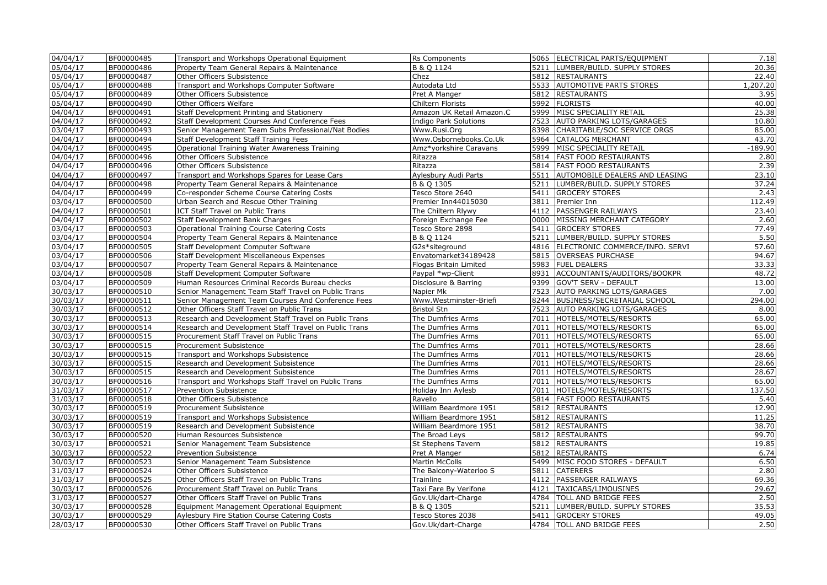| 04/04/17             | BF00000485               | Transport and Workshops Operational Equipment                                             | Rs Components                               |      | 5065 ELECTRICAL PARTS/EQUIPMENT                      | 7.18           |
|----------------------|--------------------------|-------------------------------------------------------------------------------------------|---------------------------------------------|------|------------------------------------------------------|----------------|
| 05/04/17             | BF00000486               | Property Team General Repairs & Maintenance                                               | B & Q 1124                                  |      | 5211 LUMBER/BUILD. SUPPLY STORES                     | 20.36          |
| 05/04/17             | BF00000487               | Other Officers Subsistence                                                                | Chez                                        |      | 5812 RESTAURANTS                                     | 22.40          |
| 05/04/17             | BF00000488               | Transport and Workshops Computer Software                                                 | Autodata Ltd                                |      | 5533 AUTOMOTIVE PARTS STORES                         | 1,207.20       |
| 05/04/17             | BF00000489               | Other Officers Subsistence                                                                | Pret A Manger                               |      | 5812 RESTAURANTS                                     | 3.95           |
| 05/04/17             | BF00000490               | Other Officers Welfare                                                                    | Chiltern Florists                           |      | 5992 FLORISTS                                        | 40.00          |
| 04/04/17             | BF00000491               | Staff Development Printing and Stationery                                                 | Amazon UK Retail Amazon.C                   |      | 5999 MISC SPECIALITY RETAIL                          | 25.38          |
| 04/04/17             | BF00000492               | Staff Development Courses And Conference Fees                                             | Indigo Park Solutions                       |      | 7523 AUTO PARKING LOTS/GARAGES                       | 10.80          |
| 03/04/17             | BF00000493               | Senior Management Team Subs Professional/Nat Bodies                                       | Www.Rusi.Org                                |      | 8398 CHARITABLE/SOC SERVICE ORGS                     | 85.00          |
| 04/04/17             | BF00000494               | Staff Development Staff Training Fees                                                     | Www.Osbornebooks.Co.Uk                      |      | 5964 CATALOG MERCHANT                                | 43.70          |
| 04/04/17             | BF00000495               | Operational Training Water Awareness Training                                             | Amz*yorkshire Caravans                      | 5999 | MISC SPECIALITY RETAIL                               | $-189.90$      |
| 04/04/17             | BF00000496               | Other Officers Subsistence                                                                | Ritazza                                     |      | 5814   FAST FOOD RESTAURANTS                         | 2.80           |
| 04/04/17             | BF00000496               | Other Officers Subsistence                                                                | Ritazza                                     |      | 5814   FAST FOOD RESTAURANTS                         | 2.39           |
| 04/04/17             | BF00000497               | Transport and Workshops Spares for Lease Cars                                             | Aylesbury Audi Parts                        |      | 5511 AUTOMOBILE DEALERS AND LEASING                  | 23.10          |
| 04/04/17             | BF00000498               | Property Team General Repairs & Maintenance                                               | B & Q 1305                                  | 5211 | LUMBER/BUILD. SUPPLY STORES                          | 37.24          |
| 04/04/17             | BF00000499               | Co-responder Scheme Course Catering Costs                                                 | Tesco Store 2640                            |      | 5411 GROCERY STORES                                  | 2.43           |
| 03/04/17             | BF00000500               | Urban Search and Rescue Other Training                                                    | Premier Inn44015030                         | 3811 | Premier Inn                                          | 112.49         |
| $\sqrt{04/04/17}$    | BF00000501               | ICT Staff Travel on Public Trans                                                          | The Chiltern Rlywy                          | 4112 | <b>PASSENGER RAILWAYS</b>                            | 23.40          |
| 04/04/17             | BF00000502               | Staff Development Bank Charges                                                            | Foreign Exchange Fee                        |      | 0000 MISSING MERCHANT CATEGORY                       | 2.60           |
| 03/04/17             | BF00000503               | <b>Operational Training Course Catering Costs</b>                                         | Tesco Store 2898                            | 5411 | <b>GROCERY STORES</b>                                | 77.49          |
| 03/04/17             | BF00000504               | Property Team General Repairs & Maintenance                                               | B & Q 1124                                  | 5211 | LUMBER/BUILD. SUPPLY STORES                          | 5.50           |
| 03/04/17             | BF00000505               | Staff Development Computer Software                                                       | G2s*siteground                              |      | 4816 ELECTRONIC COMMERCE/INFO. SERVI                 | 57.60          |
| 03/04/17             | BF00000506               | <b>Staff Development Miscellaneous Expenses</b>                                           | Envatomarket34189428                        |      | 5815 OVERSEAS PURCHASE                               | 94.67          |
| 03/04/17             | BF00000507               | Property Team General Repairs & Maintenance                                               | Flogas Britain Limited                      |      | 5983 FUEL DEALERS                                    | 33.33          |
| 03/04/17             | BF00000508               | Staff Development Computer Software                                                       | Paypal *wp-Client                           | 8931 | ACCOUNTANTS/AUDITORS/BOOKPR                          | 48.72          |
| 03/04/17             | BF00000509               | Human Resources Criminal Records Bureau checks                                            | Disclosure & Barring                        |      | 9399 GOV'T SERV - DEFAULT                            | 13.00          |
| 30/03/17             | BF00000510               | Senior Management Team Staff Travel on Public Trans                                       | Napier Mk                                   | 7523 | <b>AUTO PARKING LOTS/GARAGES</b>                     | 7.00           |
| 30/03/17             | BF00000511               | Senior Management Team Courses And Conference Fees                                        | Www.Westminster-Briefi                      | 8244 | BUSINESS/SECRETARIAL SCHOOL                          | 294.00         |
| 30/03/17             | BF00000512               | Other Officers Staff Travel on Public Trans                                               | <b>Bristol Stn</b>                          | 7523 | <b>AUTO PARKING LOTS/GARAGES</b>                     | 8.00           |
| 30/03/17             | BF00000513               | Research and Development Staff Travel on Public Trans                                     | The Dumfries Arms                           |      | 7011 HOTELS/MOTELS/RESORTS                           | 65.00          |
| 30/03/17             | BF00000514               | Research and Development Staff Travel on Public Trans                                     | The Dumfries Arms                           |      | 7011  HOTELS/MOTELS/RESORTS                          | 65.00          |
| 30/03/17             | BF00000515               | Procurement Staff Travel on Public Trans                                                  | The Dumfries Arms                           | 7011 | HOTELS/MOTELS/RESORTS                                | 65.00          |
| 30/03/17             | BF00000515               | Procurement Subsistence                                                                   | The Dumfries Arms                           | 7011 | HOTELS/MOTELS/RESORTS                                | 28.66          |
| 30/03/17             | BF00000515               | Transport and Workshops Subsistence                                                       | The Dumfries Arms                           | 7011 | HOTELS/MOTELS/RESORTS                                | 28.66          |
| 30/03/17             | BF00000515               | Research and Development Subsistence                                                      | The Dumfries Arms                           | 7011 | HOTELS/MOTELS/RESORTS                                | 28.66          |
| 30/03/17             | BF00000515               | Research and Development Subsistence                                                      | The Dumfries Arms                           | 7011 | HOTELS/MOTELS/RESORTS                                | 28.67          |
| 30/03/17             | BF00000516               | Transport and Workshops Staff Travel on Public Trans                                      | The Dumfries Arms                           |      | 7011 HOTELS/MOTELS/RESORTS                           | 65.00          |
| 31/03/17             | BF00000517               | Prevention Subsistence                                                                    | Holiday Inn Aylesb                          |      | 7011  HOTELS/MOTELS/RESORTS                          | 137.50         |
| 31/03/17             | BF00000518               | Other Officers Subsistence                                                                | Ravello                                     |      | 5814   FAST FOOD RESTAURANTS                         | 5.40           |
| 30/03/17             | BF00000519               | Procurement Subsistence                                                                   | William Beardmore 1951                      |      | 5812 RESTAURANTS                                     | 12.90          |
| 30/03/17             | BF00000519               | Transport and Workshops Subsistence                                                       | William Beardmore 1951                      |      | 5812 RESTAURANTS                                     | 11.25          |
| 30/03/17             | BF00000519               | Research and Development Subsistence                                                      | William Beardmore 1951                      |      | 5812 RESTAURANTS                                     | 38.70          |
| 30/03/17             | BF00000520               | Human Resources Subsistence                                                               | The Broad Leys                              |      | 5812 RESTAURANTS                                     | 99.70          |
| 30/03/17             | BF00000521               | Senior Management Team Subsistence                                                        | St Stephens Tavern                          |      | 5812 RESTAURANTS                                     | 19.85          |
| 30/03/17             | BF00000522               | Prevention Subsistence                                                                    | Pret A Manger                               |      | 5812 RESTAURANTS                                     | 6.74           |
|                      |                          |                                                                                           |                                             |      |                                                      |                |
| 30/03/17<br>31/03/17 | BF00000523<br>BF00000524 | Senior Management Team Subsistence<br>Other Officers Subsistence                          | Martin McColls<br>The Balcony-Waterloo S    | 5811 | 5499   MISC FOOD STORES - DEFAULT<br><b>CATERERS</b> | 6.50<br>2.80   |
|                      |                          |                                                                                           |                                             |      | 4112 PASSENGER RAILWAYS                              |                |
| 31/03/17<br>30/03/17 | BF00000525<br>BF00000526 | Other Officers Staff Travel on Public Trans<br>Procurement Staff Travel on Public Trans   | Trainline                                   |      | 4121   TAXICABS/LIMOUSINES                           | 69.36<br>29.67 |
| 31/03/17             | BF00000527               |                                                                                           | Taxi Fare By Verifone<br>Gov.Uk/dart-Charge |      | 4784   TOLL AND BRIDGE FEES                          | 2.50           |
| 30/03/17             | BF00000528               | Other Officers Staff Travel on Public Trans<br>Equipment Management Operational Equipment |                                             | 5211 | LUMBER/BUILD. SUPPLY STORES                          | 35.53          |
|                      |                          |                                                                                           | B & Q 1305<br>Tesco Stores 2038             | 5411 |                                                      |                |
| 30/03/17             | BF00000529               | Aylesbury Fire Station Course Catering Costs                                              |                                             |      | <b>GROCERY STORES</b>                                | 49.05          |
| 28/03/17             | BF00000530               | Other Officers Staff Travel on Public Trans                                               | Gov.Uk/dart-Charge                          |      | 4784   TOLL AND BRIDGE FEES                          | 2.50           |